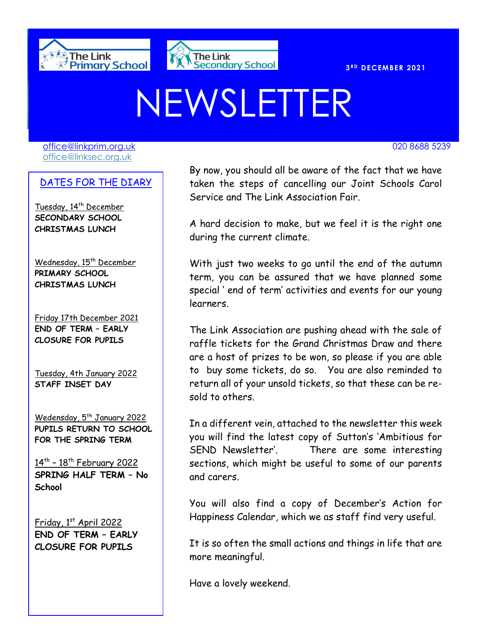



#### **R D DECEMBER 2021**

# NEWSLETTER

[office@linkprim.org.uk](mailto:office@linkprim.org.uk) 020 8688 5239 office@linksec.org.uk

#### DATES FOR THE DIARY

Tuesday, 14<sup>th</sup> December **SECONDARY SCHOOL CHRISTMAS LUNCH**

Wednesday, 15<sup>th</sup> December **PRIMARY SCHOOL CHRISTMAS LUNCH**

Friday 17th December 2021 **END OF TERM – EARLY CLOSURE FOR PUPILS**

Tuesday, 4th January 2022 **STAFF INSET DAY**

Wedensday, 5<sup>th</sup> January 2022 **PUPILS RETURN TO SCHOOL FOR THE SPRING TERM**

<u>14th - 18th February 2022</u> **SPRING HALF TERM – No School**

Friday, 1st April 2022 **END OF TERM – EARLY CLOSURE FOR PUPILS**

 Service and The Link Association Fair. External power of the fact that we have a set of the fact that we have taken the steps of cancelling our Joint Schools Carol

> A hard decision to make, but we feel it is the right one during the current climate.

> With just two weeks to go until the end of the autumn term, you can be assured that we have planned some special ' end of term' activities and events for our young learners.

> The Link Association are pushing ahead with the sale of raffle tickets for the Grand Christmas Draw and there are a host of prizes to be won, so please if you are able to buy some tickets, do so. You are also reminded to return all of your unsold tickets, so that these can be resold to others.

> In a different vein, attached to the newsletter this week you will find the latest copy of Sutton's 'Ambitious for SEND Newsletter'. There are some interesting sections, which might be useful to some of our parents and carers.

> You will also find a copy of December's Action for Happiness Calendar, which we as staff find very useful.

> It is so often the small actions and things in life that are more meaningful.

Have a lovely weekend.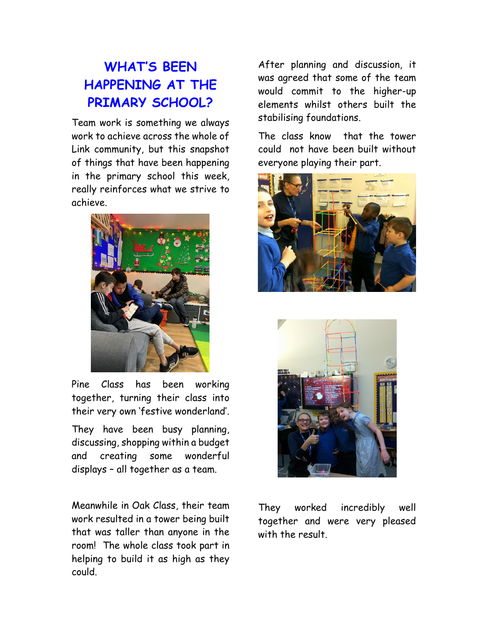## **WHAT'S BEEN HAPPENING AT THE PRIMARY SCHOOL?**

Team work is something we always work to achieve across the whole of Link community, but this snapshot of things that have been happening in the primary school this week, really reinforces what we strive to achieve.



Pine Class has been working together, turning their class into their very own 'festive wonderland'.

They have been busy planning, discussing, shopping within a budget and creating some wonderful displays – all together as a team.

Meanwhile in Oak Class, their team work resulted in a tower being built that was taller than anyone in the room! The whole class took part in helping to build it as high as they could.

After planning and discussion, it was agreed that some of the team would commit to the higher-up elements whilst others built the stabilising foundations.

The class know that the tower could not have been built without everyone playing their part.





They worked incredibly well together and were very pleased with the result.